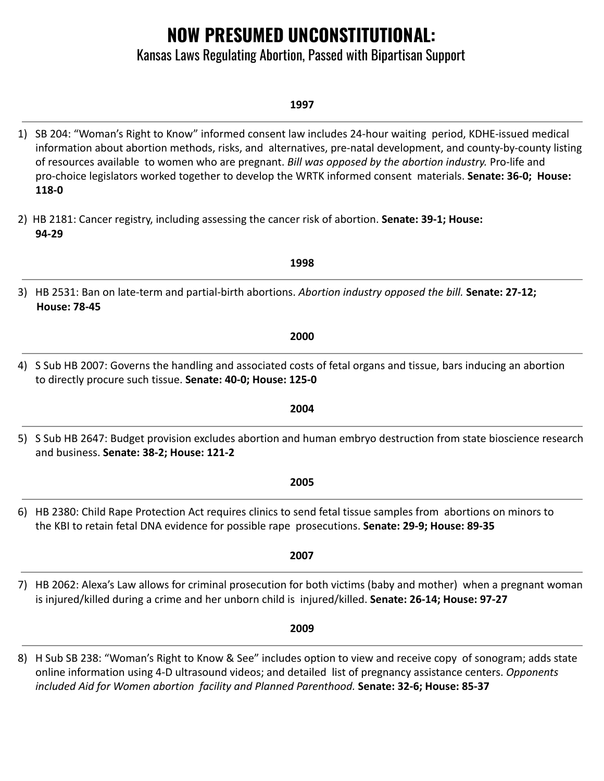# **NOW PRESUMED UNCONSTITUTIONAL:**

## Kansas Laws Regulating Abortion, Passed with Bipartisan Support

### **1997**

1) SB 204: "Woman's Right to Know" informed consent law includes 24-hour waiting period, KDHE-issued medical information about abortion methods, risks, and alternatives, pre-natal development, and county-by-county listing of resources available to women who are pregnant. *Bill was opposed by the abortion industry.* Pro-life and pro-choice legislators worked together to develop the WRTK informed consent materials. **Senate: 36-0; House: 118-0**

**1998**

**2000**

- 2) HB 2181: Cancer registry, including assessing the cancer risk of abortion. **Senate: 39-1; House: 94-29**
- 3) HB 2531: Ban on late-term and partial-birth abortions. *Abortion industry opposed the bill.* **Senate: 27-12; House: 78-45**
- 4) S Sub HB 2007: Governs the handling and associated costs of fetal organs and tissue, bars inducing an abortion to directly procure such tissue. **Senate: 40-0; House: 125-0**
- 5) S Sub HB 2647: Budget provision excludes abortion and human embryo destruction from state bioscience research and business. **Senate: 38-2; House: 121-2**

**2004**

- 6) HB 2380: Child Rape Protection Act requires clinics to send fetal tissue samples from abortions on minors to the KBI to retain fetal DNA evidence for possible rape prosecutions. **Senate: 29-9; House: 89-35**
- 7) HB 2062: Alexa's Law allows for criminal prosecution for both victims (baby and mother) when a pregnant woman is injured/killed during a crime and her unborn child is injured/killed. **Senate: 26-14; House: 97-27**

**2009**

**2007**

8) H Sub SB 238: "Woman's Right to Know & See" includes option to view and receive copy of sonogram; adds state online information using 4-D ultrasound videos; and detailed list of pregnancy assistance centers. *Opponents included Aid for Women abortion facility and Planned Parenthood.* **Senate: 32-6; House: 85-37**

# **2005**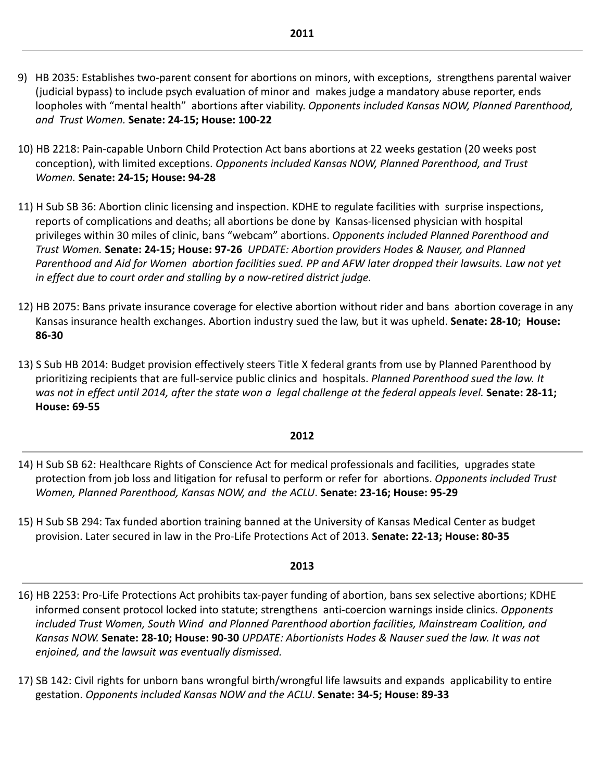- 9) HB 2035: Establishes two-parent consent for abortions on minors, with exceptions, strengthens parental waiver (judicial bypass) to include psych evaluation of minor and makes judge a mandatory abuse reporter, ends loopholes with "mental health" abortions after viability. *Opponents included Kansas NOW, Planned Parenthood, and Trust Women.* **Senate: 24-15; House: 100-22**
- 10) HB 2218: Pain-capable Unborn Child Protection Act bans abortions at 22 weeks gestation (20 weeks post conception), with limited exceptions. *Opponents included Kansas NOW, Planned Parenthood, and Trust Women.* **Senate: 24-15; House: 94-28**
- 11) H Sub SB 36: Abortion clinic licensing and inspection. KDHE to regulate facilities with surprise inspections, reports of complications and deaths; all abortions be done by Kansas-licensed physician with hospital privileges within 30 miles of clinic, bans "webcam" abortions. *Opponents included Planned Parenthood and Trust Women.* **Senate: 24-15; House: 97-26** *UPDATE: Abortion providers Hodes & Nauser, and Planned Parenthood and Aid for Women abortion facilities sued. PP and AFW later dropped their lawsuits. Law not yet in effect due to court order and stalling by a now-retired district judge.*
- 12) HB 2075: Bans private insurance coverage for elective abortion without rider and bans abortion coverage in any Kansas insurance health exchanges. Abortion industry sued the law, but it was upheld. **Senate: 28-10; House: 86-30**
- 13) S Sub HB 2014: Budget provision effectively steers Title X federal grants from use by Planned Parenthood by prioritizing recipients that are full-service public clinics and hospitals. *Planned Parenthood sued the law. It was not in effect until 2014, after the state won a legal challenge at the federal appeals level.* **Senate: 28-11; House: 69-55**

### **2012**

- 14) H Sub SB 62: Healthcare Rights of Conscience Act for medical professionals and facilities, upgrades state protection from job loss and litigation for refusal to perform or refer for abortions. *Opponents included Trust Women, Planned Parenthood, Kansas NOW, and the ACLU*. **Senate: 23-16; House: 95-29**
- 15) H Sub SB 294: Tax funded abortion training banned at the University of Kansas Medical Center as budget provision. Later secured in law in the Pro-Life Protections Act of 2013. **Senate: 22-13; House: 80-35**

### **2013**

- 16) HB 2253: Pro-Life Protections Act prohibits tax-payer funding of abortion, bans sex selective abortions; KDHE informed consent protocol locked into statute; strengthens anti-coercion warnings inside clinics. *Opponents included Trust Women, South Wind and Planned Parenthood abortion facilities, Mainstream Coalition, and Kansas NOW.* **Senate: 28-10; House: 90-30** *UPDATE: Abortionists Hodes & Nauser sued the law. It was not enjoined, and the lawsuit was eventually dismissed.*
- 17) SB 142: Civil rights for unborn bans wrongful birth/wrongful life lawsuits and expands applicability to entire gestation. *Opponents included Kansas NOW and the ACLU*. **Senate: 34-5; House: 89-33**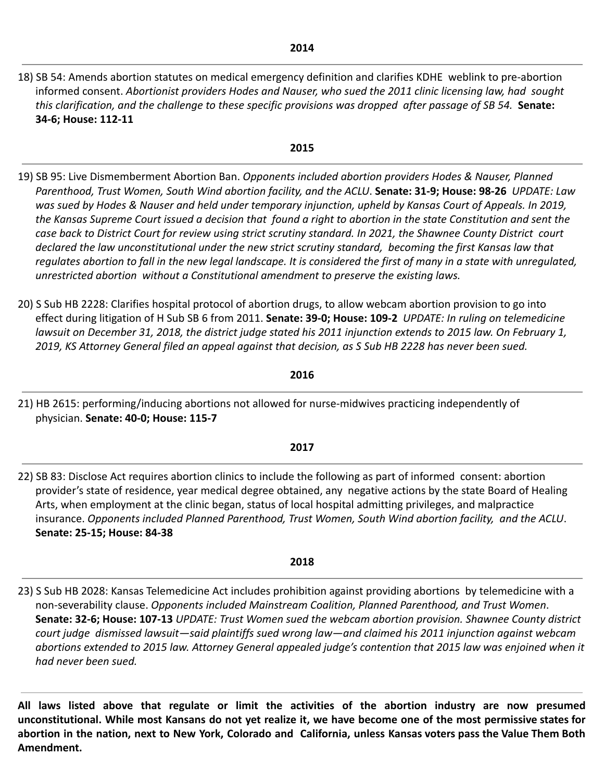18) SB 54: Amends abortion statutes on medical emergency definition and clarifies KDHE weblink to pre-abortion informed consent. *Abortionist providers Hodes and Nauser, who sued the 2011 clinic licensing law, had sought this clarification, and the challenge to these specific provisions was dropped after passage of SB 54.* **Senate: 34-6; House: 112-11**

#### **2015**

- 19) SB 95: Live Dismemberment Abortion Ban. *Opponents included abortion providers Hodes & Nauser, Planned Parenthood, Trust Women, South Wind abortion facility, and the ACLU*. **Senate: 31-9; House: 98-26** *UPDATE: Law was sued by Hodes & Nauser and held under temporary injunction, upheld by Kansas Court of Appeals. In 2019, the Kansas Supreme Court issued a decision that found a right to abortion in the state Constitution and sent the case back to District Court for review using strict scrutiny standard. In 2021, the Shawnee County District court declared the law unconstitutional under the new strict scrutiny standard, becoming the first Kansas law that regulates abortion to fall in the new legal landscape. It is considered the first of many in a state with unregulated, unrestricted abortion without a Constitutional amendment to preserve the existing laws.*
- 20) S Sub HB 2228: Clarifies hospital protocol of abortion drugs, to allow webcam abortion provision to go into effect during litigation of H Sub SB 6 from 2011. **Senate: 39-0; House: 109-2** *UPDATE: In ruling on telemedicine lawsuit on December 31, 2018, the district judge stated his 2011 injunction extends to 2015 law. On February 1, 2019, KS Attorney General filed an appeal against that decision, as S Sub HB 2228 has never been sued.*

#### **2016**

21) HB 2615: performing/inducing abortions not allowed for nurse-midwives practicing independently of physician. **Senate: 40-0; House: 115-7**

#### **2017**

22) SB 83: Disclose Act requires abortion clinics to include the following as part of informed consent: abortion provider's state of residence, year medical degree obtained, any negative actions by the state Board of Healing Arts, when employment at the clinic began, status of local hospital admitting privileges, and malpractice insurance. *Opponents included Planned Parenthood, Trust Women, South Wind abortion facility, and the ACLU*. **Senate: 25-15; House: 84-38**

### **2018**

23) S Sub HB 2028: Kansas Telemedicine Act includes prohibition against providing abortions by telemedicine with a non-severability clause. *Opponents included Mainstream Coalition, Planned Parenthood, and Trust Women*. **Senate: 32-6; House: 107-13** *UPDATE: Trust Women sued the webcam abortion provision. Shawnee County district court judge dismissed lawsuit—said plaintiffs sued wrong law—and claimed his 2011 injunction against webcam abortions extended to 2015 law. Attorney General appealed judge's contention that 2015 law was enjoined when it had never been sued.*

**All laws listed above that regulate or limit the activities of the abortion industry are now presumed** unconstitutional. While most Kansans do not yet realize it, we have become one of the most permissive states for abortion in the nation, next to New York, Colorado and California, unless Kansas voters pass the Value Them Both **Amendment.**